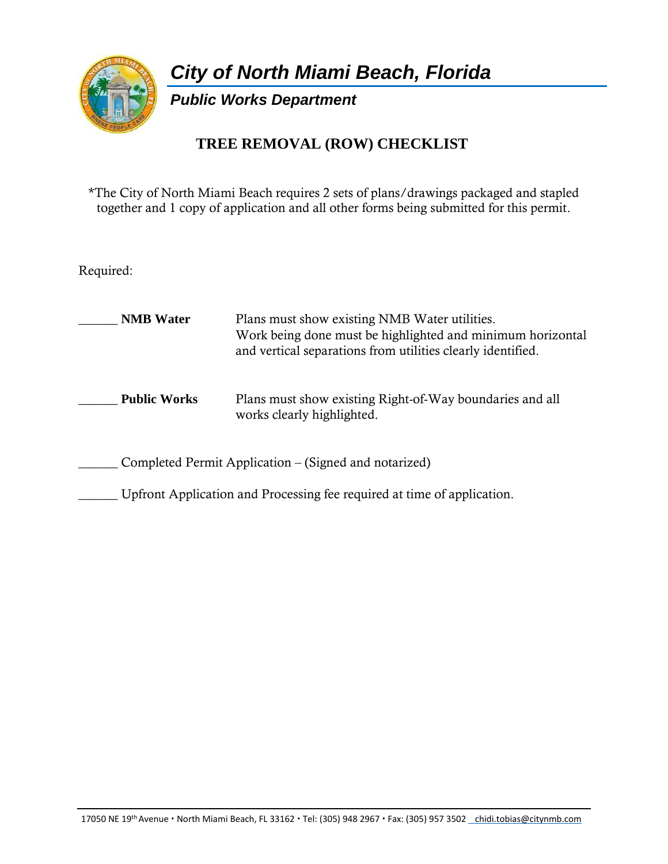

*City of North Miami Beach, Florida*

*Public Works Department*

## **TREE REMOVAL (ROW) CHECKLIST**

\*The City of North Miami Beach requires 2 sets of plans/drawings packaged and stapled together and 1 copy of application and all other forms being submitted for this permit.

Required:

| <b>NMB</b> Water                                                        | Plans must show existing NMB Water utilities.<br>Work being done must be highlighted and minimum horizontal<br>and vertical separations from utilities clearly identified. |  |  |
|-------------------------------------------------------------------------|----------------------------------------------------------------------------------------------------------------------------------------------------------------------------|--|--|
| <b>Public Works</b>                                                     | Plans must show existing Right-of-Way boundaries and all<br>works clearly highlighted.                                                                                     |  |  |
| Completed Permit Application – (Signed and notarized)                   |                                                                                                                                                                            |  |  |
| Upfront Application and Processing fee required at time of application. |                                                                                                                                                                            |  |  |